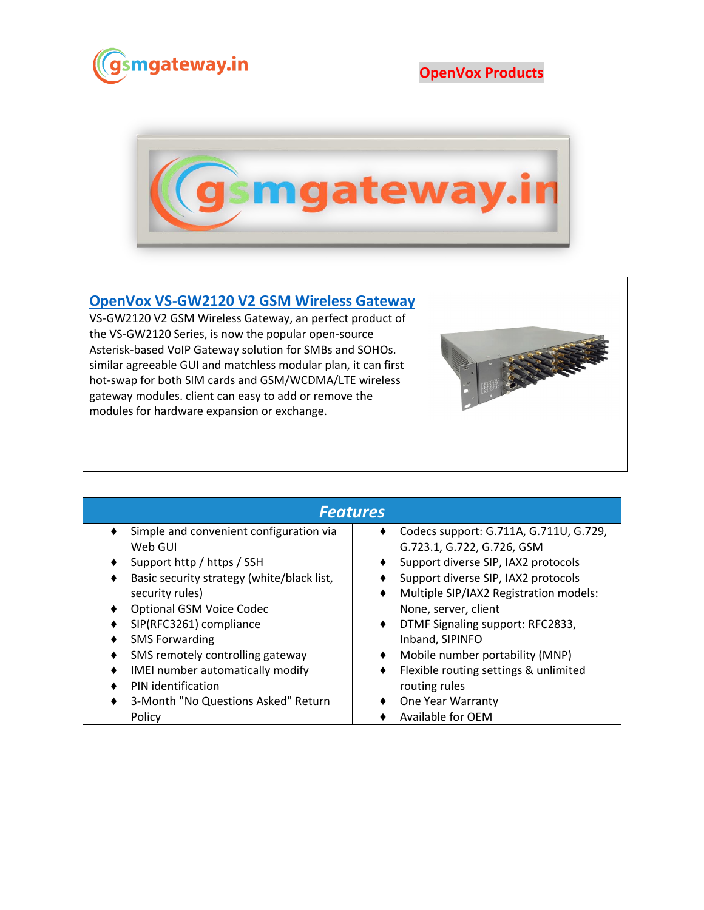

**OpenVox Products**



## **[OpenVox VS-GW2120 V2 GSM Wireless Gateway](https://www.gsmgateway.in/openvox/VS-GW2120-V2-GSM-Wireless-Gateway.html)**

VS-GW2120 V2 GSM Wireless Gateway, an perfect product of the VS-GW2120 Series, is now the popular open-source Asterisk-based VoIP Gateway solution for SMBs and SOHOs. similar agreeable GUI and matchless modular plan, it can first hot-swap for both SIM cards and GSM/WCDMA/LTE wireless gateway modules. client can easy to add or remove the modules for hardware expansion or exchange.



| <b>Features</b>                            |                                             |  |  |  |
|--------------------------------------------|---------------------------------------------|--|--|--|
| Simple and convenient configuration via    | Codecs support: G.711A, G.711U, G.729,      |  |  |  |
| Web GUI                                    | G.723.1, G.722, G.726, GSM                  |  |  |  |
| Support http / https / SSH                 | Support diverse SIP, IAX2 protocols<br>٠    |  |  |  |
| Basic security strategy (white/black list, | Support diverse SIP, IAX2 protocols         |  |  |  |
| security rules)                            | Multiple SIP/IAX2 Registration models:<br>٠ |  |  |  |
| <b>Optional GSM Voice Codec</b>            | None, server, client                        |  |  |  |
| SIP(RFC3261) compliance                    | DTMF Signaling support: RFC2833,<br>٠       |  |  |  |
| <b>SMS Forwarding</b>                      | Inband, SIPINFO                             |  |  |  |
| SMS remotely controlling gateway           | Mobile number portability (MNP)<br>٠        |  |  |  |
| IMEI number automatically modify           | Flexible routing settings & unlimited<br>٠  |  |  |  |
| PIN identification                         | routing rules                               |  |  |  |
| 3-Month "No Questions Asked" Return        | One Year Warranty                           |  |  |  |
| Policy                                     | Available for OEM                           |  |  |  |